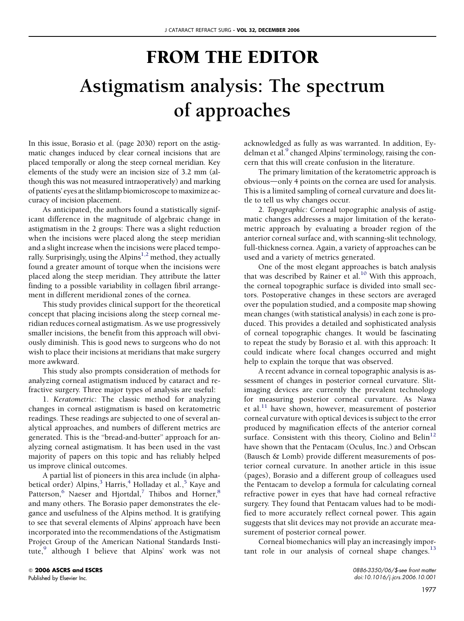## FROM THE EDITOR Astigmatism analysis: The spectrum of approaches

In this issue, Borasio et al. (page 2030) report on the astigmatic changes induced by clear corneal incisions that are placed temporally or along the steep corneal meridian. Key elements of the study were an incision size of 3.2 mm (although this was not measured intraoperatively) and marking of patients' eyes at the slitlamp biomicroscope to maximize accuracy of incision placement.

As anticipated, the authors found a statistically significant difference in the magnitude of algebraic change in astigmatism in the 2 groups: There was a slight reduction when the incisions were placed along the steep meridian and a slight increase when the incisions were placed tempo-rally. Surprisingly, using the Alpins<sup>[1,2](#page-1-0)</sup> method, they actually found a greater amount of torque when the incisions were placed along the steep meridian. They attribute the latter finding to a possible variability in collagen fibril arrangement in different meridional zones of the cornea.

This study provides clinical support for the theoretical concept that placing incisions along the steep corneal meridian reduces corneal astigmatism. As we use progressively smaller incisions, the benefit from this approach will obviously diminish. This is good news to surgeons who do not wish to place their incisions at meridians that make surgery more awkward.

This study also prompts consideration of methods for analyzing corneal astigmatism induced by cataract and refractive surgery. Three major types of analysis are useful:

1. Keratometric: The classic method for analyzing changes in corneal astigmatism is based on keratometric readings. These readings are subjected to one of several analytical approaches, and numbers of different metrics are generated. This is the "bread-and-butter" approach for analyzing corneal astigmatism. It has been used in the vast majority of papers on this topic and has reliably helped us improve clinical outcomes.

A partial list of pioneers in this area include (in alpha-betical order) Alpins,<sup>[3](#page-1-0)</sup> Harris,<sup>[4](#page-1-0)</sup> Holladay et al.,<sup>[5](#page-1-0)</sup> Kaye and Patterson, $6$  Naeser and Hjortdal, $7$  Thibos and Horner, $8$ and many others. The Borasio paper demonstrates the elegance and usefulness of the Alpins method. It is gratifying to see that several elements of Alpins' approach have been incorporated into the recommendations of the Astigmatism Project Group of the American National Standards Insti-tute,<sup>[9](#page-1-0)</sup> although I believe that Alpins' work was not acknowledged as fully as was warranted. In addition, Ey-delman et al.<sup>[9](#page-1-0)</sup> changed Alpins' terminology, raising the concern that this will create confusion in the literature.

The primary limitation of the keratometric approach is obvious—only 4 points on the cornea are used for analysis. This is a limited sampling of corneal curvature and does little to tell us why changes occur.

2. Topographic: Corneal topographic analysis of astigmatic changes addresses a major limitation of the keratometric approach by evaluating a broader region of the anterior corneal surface and, with scanning-slit technology, full-thickness cornea. Again, a variety of approaches can be used and a variety of metrics generated.

One of the most elegant approaches is batch analysis that was described by Rainer et al.<sup>[10](#page-1-0)</sup> With this approach, the corneal topographic surface is divided into small sectors. Postoperative changes in these sectors are averaged over the population studied, and a composite map showing mean changes (with statistical analysis) in each zone is produced. This provides a detailed and sophisticated analysis of corneal topographic changes. It would be fascinating to repeat the study by Borasio et al. with this approach: It could indicate where focal changes occurred and might help to explain the torque that was observed.

A recent advance in corneal topographic analysis is assessment of changes in posterior corneal curvature. Slitimaging devices are currently the prevalent technology for measuring posterior corneal curvature. As Nawa et al.<sup>[11](#page-1-0)</sup> have shown, however, measurement of posterior corneal curvature with optical devices is subject to the error produced by magnification effects of the anterior corneal surface. Consistent with this theory, Ciolino and Belin<sup>[12](#page-1-0)</sup> have shown that the Pentacam (Oculus, Inc.) and Orbscan (Bausch & Lomb) provide different measurements of posterior corneal curvature. In another article in this issue (pages), Borasio and a different group of colleagues used the Pentacam to develop a formula for calculating corneal refractive power in eyes that have had corneal refractive surgery. They found that Pentacam values had to be modified to more accurately reflect corneal power. This again suggests that slit devices may not provide an accurate measurement of posterior corneal power.

Corneal biomechanics will play an increasingly impor-tant role in our analysis of corneal shape changes.<sup>[13](#page-1-0)</sup>